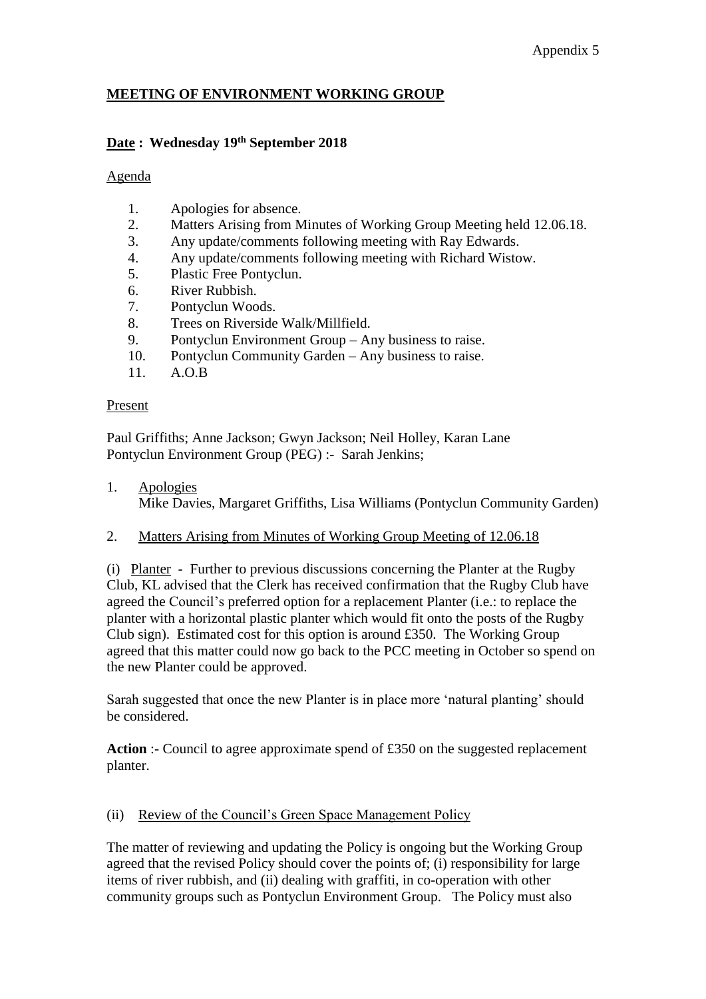## Appendix 5

## **MEETING OF ENVIRONMENT WORKING GROUP**

#### **Date : Wednesday 19th September 2018**

#### Agenda

- 1. Apologies for absence.
- 2. Matters Arising from Minutes of Working Group Meeting held 12.06.18.
- 3. Any update/comments following meeting with Ray Edwards.
- 4. Any update/comments following meeting with Richard Wistow.
- 5. Plastic Free Pontyclun.
- 6. River Rubbish.
- 7. Pontyclun Woods.
- 8. Trees on Riverside Walk/Millfield.
- 9. Pontyclun Environment Group Any business to raise.
- 10. Pontyclun Community Garden Any business to raise.
- 11. A.O.B

#### Present

Paul Griffiths; Anne Jackson; Gwyn Jackson; Neil Holley, Karan Lane Pontyclun Environment Group (PEG) :- Sarah Jenkins;

- 1. Apologies Mike Davies, Margaret Griffiths, Lisa Williams (Pontyclun Community Garden)
- 2. Matters Arising from Minutes of Working Group Meeting of 12.06.18

(i) Planter - Further to previous discussions concerning the Planter at the Rugby Club, KL advised that the Clerk has received confirmation that the Rugby Club have agreed the Council's preferred option for a replacement Planter (i.e.: to replace the planter with a horizontal plastic planter which would fit onto the posts of the Rugby Club sign). Estimated cost for this option is around £350. The Working Group agreed that this matter could now go back to the PCC meeting in October so spend on the new Planter could be approved.

Sarah suggested that once the new Planter is in place more 'natural planting' should be considered.

**Action** :- Council to agree approximate spend of £350 on the suggested replacement planter.

#### (ii) Review of the Council's Green Space Management Policy

The matter of reviewing and updating the Policy is ongoing but the Working Group agreed that the revised Policy should cover the points of; (i) responsibility for large items of river rubbish, and (ii) dealing with graffiti, in co-operation with other community groups such as Pontyclun Environment Group. The Policy must also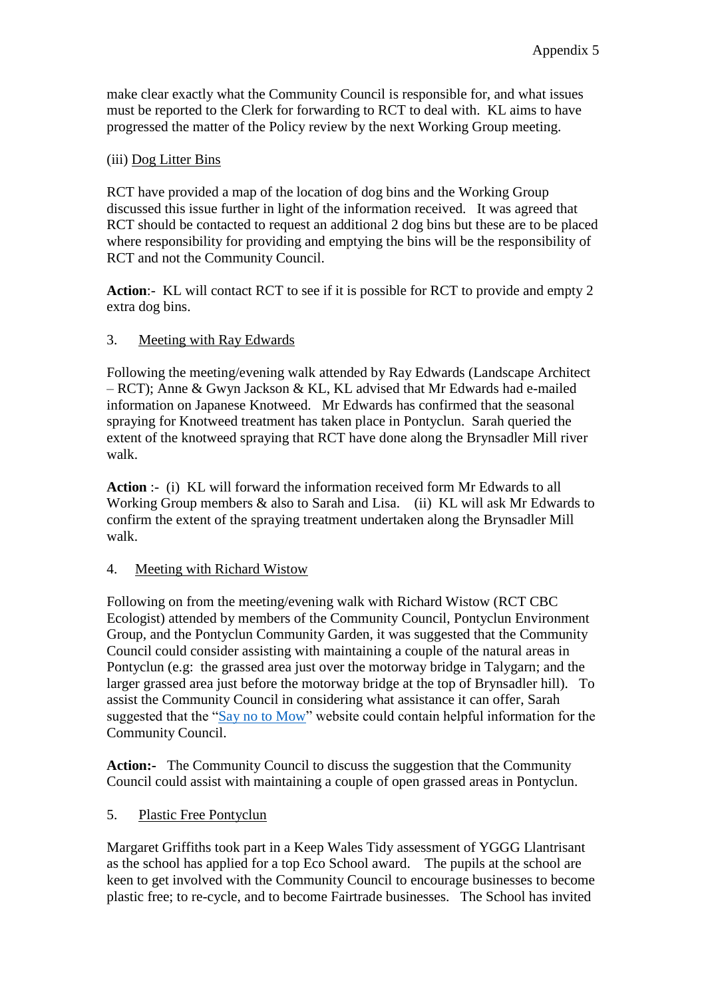make clear exactly what the Community Council is responsible for, and what issues must be reported to the Clerk for forwarding to RCT to deal with. KL aims to have progressed the matter of the Policy review by the next Working Group meeting.

## (iii) Dog Litter Bins

RCT have provided a map of the location of dog bins and the Working Group discussed this issue further in light of the information received. It was agreed that RCT should be contacted to request an additional 2 dog bins but these are to be placed where responsibility for providing and emptying the bins will be the responsibility of RCT and not the Community Council.

**Action**:- KL will contact RCT to see if it is possible for RCT to provide and empty 2 extra dog bins.

## 3. Meeting with Ray Edwards

Following the meeting/evening walk attended by Ray Edwards (Landscape Architect – RCT); Anne & Gwyn Jackson & KL, KL advised that Mr Edwards had e-mailed information on Japanese Knotweed. Mr Edwards has confirmed that the seasonal spraying for Knotweed treatment has taken place in Pontyclun. Sarah queried the extent of the knotweed spraying that RCT have done along the Brynsadler Mill river walk.

**Action** :- (i) KL will forward the information received form Mr Edwards to all Working Group members & also to Sarah and Lisa. (ii) KL will ask Mr Edwards to confirm the extent of the spraying treatment undertaken along the Brynsadler Mill walk.

## 4. Meeting with Richard Wistow

Following on from the meeting/evening walk with Richard Wistow (RCT CBC Ecologist) attended by members of the Community Council, Pontyclun Environment Group, and the Pontyclun Community Garden, it was suggested that the Community Council could consider assisting with maintaining a couple of the natural areas in Pontyclun (e.g: the grassed area just over the motorway bridge in Talygarn; and the larger grassed area just before the motorway bridge at the top of Brynsadler hill). To assist the Community Council in considering what assistance it can offer, Sarah suggested that the ["Say no to Mow"](https://www.plantlife.org.uk/uk/discover-wild-plants-nature/children-families/say-no-to-the-mow) website could contain helpful information for the Community Council.

**Action:-** The Community Council to discuss the suggestion that the Community Council could assist with maintaining a couple of open grassed areas in Pontyclun.

## 5. Plastic Free Pontyclun

Margaret Griffiths took part in a Keep Wales Tidy assessment of YGGG Llantrisant as the school has applied for a top Eco School award. The pupils at the school are keen to get involved with the Community Council to encourage businesses to become plastic free; to re-cycle, and to become Fairtrade businesses. The School has invited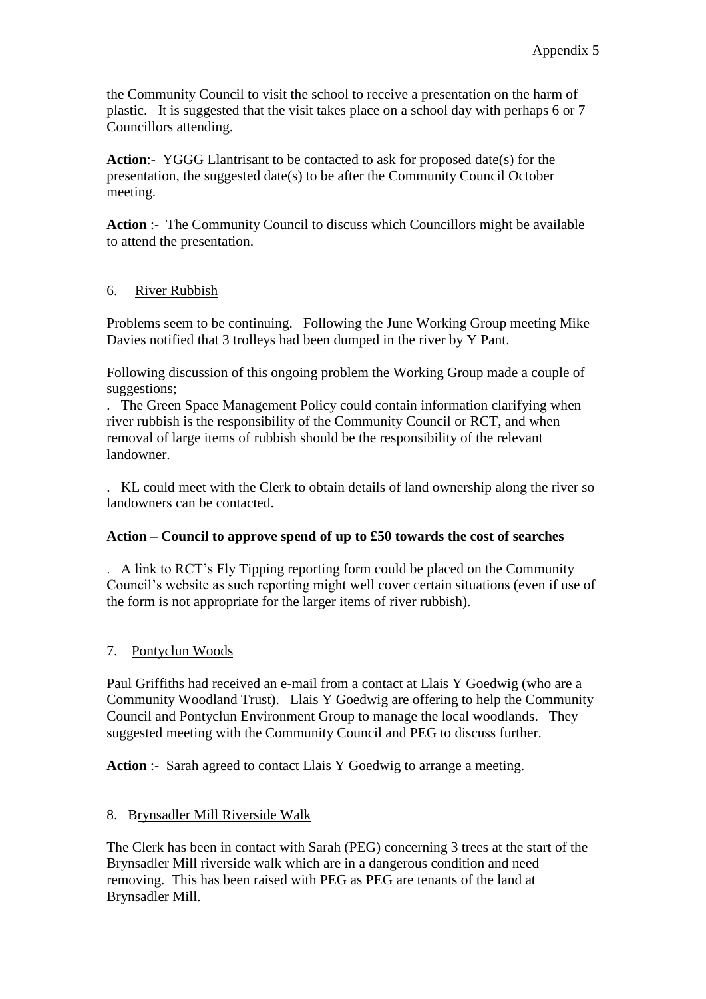the Community Council to visit the school to receive a presentation on the harm of plastic. It is suggested that the visit takes place on a school day with perhaps 6 or 7 Councillors attending.

**Action**:- YGGG Llantrisant to be contacted to ask for proposed date(s) for the presentation, the suggested date(s) to be after the Community Council October meeting.

**Action** :- The Community Council to discuss which Councillors might be available to attend the presentation.

## 6. River Rubbish

Problems seem to be continuing. Following the June Working Group meeting Mike Davies notified that 3 trolleys had been dumped in the river by Y Pant.

Following discussion of this ongoing problem the Working Group made a couple of suggestions:

. The Green Space Management Policy could contain information clarifying when river rubbish is the responsibility of the Community Council or RCT, and when removal of large items of rubbish should be the responsibility of the relevant landowner.

. KL could meet with the Clerk to obtain details of land ownership along the river so landowners can be contacted.

## **Action – Council to approve spend of up to £50 towards the cost of searches**

. A link to RCT's Fly Tipping reporting form could be placed on the Community Council's website as such reporting might well cover certain situations (even if use of the form is not appropriate for the larger items of river rubbish).

## 7. Pontyclun Woods

Paul Griffiths had received an e-mail from a contact at Llais Y Goedwig (who are a Community Woodland Trust). Llais Y Goedwig are offering to help the Community Council and Pontyclun Environment Group to manage the local woodlands. They suggested meeting with the Community Council and PEG to discuss further.

Action :- Sarah agreed to contact Llais Y Goedwig to arrange a meeting.

## 8. Brynsadler Mill Riverside Walk

The Clerk has been in contact with Sarah (PEG) concerning 3 trees at the start of the Brynsadler Mill riverside walk which are in a dangerous condition and need removing. This has been raised with PEG as PEG are tenants of the land at Brynsadler Mill.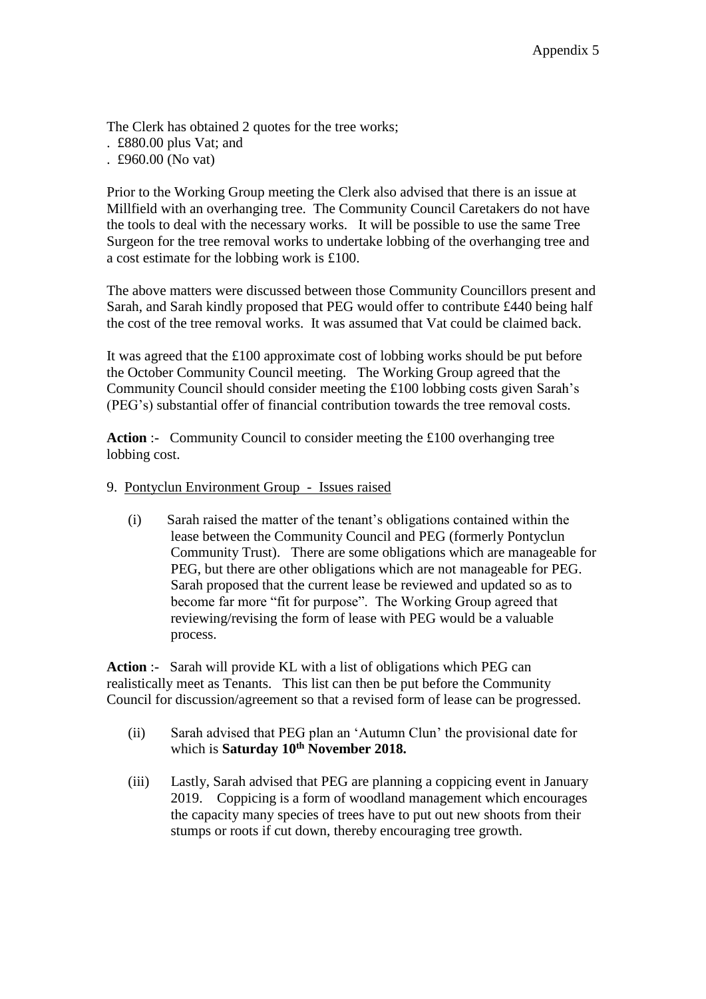The Clerk has obtained 2 quotes for the tree works;

- . £880.00 plus Vat; and
- . £960.00 (No vat)

Prior to the Working Group meeting the Clerk also advised that there is an issue at Millfield with an overhanging tree. The Community Council Caretakers do not have the tools to deal with the necessary works. It will be possible to use the same Tree Surgeon for the tree removal works to undertake lobbing of the overhanging tree and a cost estimate for the lobbing work is £100.

The above matters were discussed between those Community Councillors present and Sarah, and Sarah kindly proposed that PEG would offer to contribute £440 being half the cost of the tree removal works. It was assumed that Vat could be claimed back.

It was agreed that the £100 approximate cost of lobbing works should be put before the October Community Council meeting. The Working Group agreed that the Community Council should consider meeting the £100 lobbing costs given Sarah's (PEG's) substantial offer of financial contribution towards the tree removal costs.

**Action** :- Community Council to consider meeting the £100 overhanging tree lobbing cost.

- 9. Pontyclun Environment Group Issues raised
	- (i) Sarah raised the matter of the tenant's obligations contained within the lease between the Community Council and PEG (formerly Pontyclun Community Trust). There are some obligations which are manageable for PEG, but there are other obligations which are not manageable for PEG. Sarah proposed that the current lease be reviewed and updated so as to become far more "fit for purpose". The Working Group agreed that reviewing/revising the form of lease with PEG would be a valuable process.

**Action** :- Sarah will provide KL with a list of obligations which PEG can realistically meet as Tenants. This list can then be put before the Community Council for discussion/agreement so that a revised form of lease can be progressed.

- (ii) Sarah advised that PEG plan an 'Autumn Clun' the provisional date for which is **Saturday 10th November 2018.**
- (iii) Lastly, Sarah advised that PEG are planning a coppicing event in January 2019. Coppicing is a form of woodland management which encourages the capacity many species of trees have to put out new shoots from their stumps or roots if cut down, thereby encouraging tree growth.